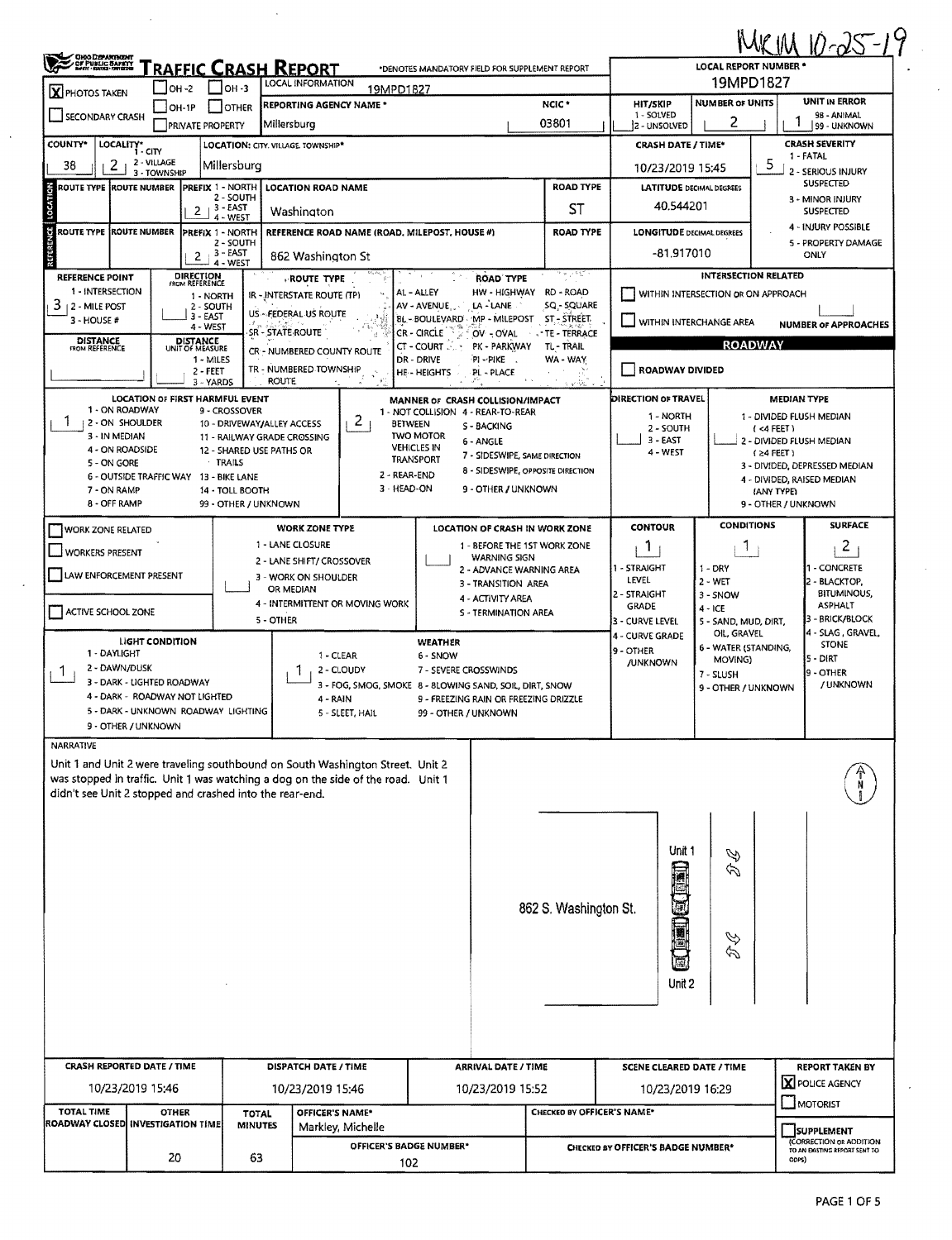|                                                                                           |                                                                                                                                                                                                                                 |                                         |                                                |                                       |                                                                        |                                                 |                                       |                                           |                                     |                                   | $KIM10-25-19$                                               |  |  |
|-------------------------------------------------------------------------------------------|---------------------------------------------------------------------------------------------------------------------------------------------------------------------------------------------------------------------------------|-----------------------------------------|------------------------------------------------|---------------------------------------|------------------------------------------------------------------------|-------------------------------------------------|---------------------------------------|-------------------------------------------|-------------------------------------|-----------------------------------|-------------------------------------------------------------|--|--|
|                                                                                           | <b>OHO DEPARTBENT<br/>DF PUBLIC SAFETY</b><br>Born Broat Primedia<br>RAFFIC CRASH REPORT<br>*DENOTES MANDATORY FIELD FOR SUPPLEMENT REPORT<br>LOCAL INFORMATION                                                                 |                                         |                                                |                                       |                                                                        |                                                 |                                       | <b>LOCAL REPORT NUMBER *</b><br>19MPD1827 |                                     |                                   |                                                             |  |  |
| $\mathbf X$ PHOTOS TAKEN                                                                  | <b>OH-2</b><br>OH IP                                                                                                                                                                                                            | I OH -3<br>I IOTHER                     | <b>REPORTING AGENCY NAME *</b>                 | 19MPD1827                             |                                                                        |                                                 | NCIC <sup>*</sup>                     | <b>HIT/SKIP</b>                           | <b>NUMBER OF UNITS</b>              |                                   | <b>UNIT IN ERROR</b>                                        |  |  |
| <b>SECONDARY CRASH</b>                                                                    | <b>PRIVATE PROPERTY</b>                                                                                                                                                                                                         |                                         | Millersburg                                    |                                       |                                                                        | 03801                                           |                                       |                                           | 2                                   |                                   | 98 - ANIMAL<br>99 - UNKNOWN                                 |  |  |
| COUNTY*                                                                                   | LOCALITY* CITY                                                                                                                                                                                                                  |                                         | <b>LOCATION: CITY. VILLAGE TOWNSHIP*</b>       |                                       |                                                                        |                                                 |                                       | <b>CRASH DATE / TIME*</b>                 |                                     |                                   | <b>CRASH SEVERITY</b>                                       |  |  |
| 2<br>38                                                                                   | 2 - VILLAGE<br>3 - TOWNSHIP                                                                                                                                                                                                     | Millersburg                             |                                                |                                       |                                                                        |                                                 |                                       | 10/23/2019 15:45                          |                                     | 5.                                | 1 - FATAL<br>2 - SERIOUS INJURY                             |  |  |
| $\frac{2}{9}$<br>PREFIX 1 - NORTH<br>ROUTE TYPE ROUTE NUMBER<br><b>LOCATION ROAD NAME</b> |                                                                                                                                                                                                                                 |                                         |                                                |                                       |                                                                        |                                                 | <b>ROAD TYPE</b>                      | <b>LATITUDE DECIMAL DEGREES</b>           |                                     |                                   | <b>SUSPECTED</b>                                            |  |  |
| LOCATI                                                                                    |                                                                                                                                                                                                                                 | 2 - SOUTH<br>$2 + 3 - EAST$<br>- WEST   | Washington                                     |                                       |                                                                        |                                                 | ST                                    | 40.544201                                 |                                     |                                   | 3 - MINOR INJURY<br><b>SUSPECTED</b>                        |  |  |
|                                                                                           | ROUTE TYPE (ROUTE NUMBER<br>REFERENCE ROAD NAME (ROAD, MILEPOST, HOUSE #)<br>PREFIX 1 - NORTH                                                                                                                                   |                                         |                                                |                                       |                                                                        |                                                 | <b>ROAD TYPE</b>                      | <b>LONGITUDE DECIMAL DEGREES</b>          |                                     |                                   | 4 - INJURY POSSIBLE                                         |  |  |
| REFERENCE                                                                                 | 2                                                                                                                                                                                                                               | 2 - SOUTH<br>3 - EAST                   | 862 Washington St                              |                                       |                                                                        |                                                 |                                       | -81.917010                                |                                     |                                   | 5 - PROPERTY DAMAGE<br>ONLY                                 |  |  |
| 4 - WEST<br><b>DIRECTION</b><br>FROM REFERENCE<br>REFERENCE POINT<br><b>ROUTE TYPE</b>    |                                                                                                                                                                                                                                 |                                         |                                                |                                       |                                                                        | <b>ROAD TYPE</b>                                | $\cdots$                              |                                           | <b>INTERSECTION RELATED</b>         |                                   |                                                             |  |  |
| 1 - INTERSECTION<br>3<br><sub>1</sub> 2 - Mile Post                                       |                                                                                                                                                                                                                                 | 1 - NORTH<br>2 - SOUTH                  | IR - INTERSTATE ROUTE (TP)                     |                                       | AL - ALLEY<br>AV - AVENUE                                              | LA - LANE                                       | HW - HIGHWAY RD - ROAD<br>SQ - SQUARE |                                           | WITHIN INTERSECTION OR ON APPROACH  |                                   |                                                             |  |  |
| 3 - HOUSE #                                                                               |                                                                                                                                                                                                                                 | 3 - EAST<br>4 - WEST                    | US - FEDERAL US ROUTE                          |                                       | BL-BOULEVARD - MP - MILEPOST                                           |                                                 | ST - STREET                           |                                           | WITHIN INTERCHANGE AREA             |                                   | <b>NUMBER OF APPROACHES</b>                                 |  |  |
| <b>DISTANCE</b><br>FROM REFERENCE                                                         | <b>DISTANCE</b><br>UNIT OF MEASURE                                                                                                                                                                                              |                                         | SR - STATE ROUTE<br>CR - NUMBERED COUNTY ROUTE |                                       | <b>CR - CIRCLE</b><br>CT - COURT                                       | OV - OVAL<br>PK - PARKWAY                       | - TE - TERRACE<br>TL - TRAIL          |                                           |                                     | <b>ROADWAY</b>                    |                                                             |  |  |
|                                                                                           |                                                                                                                                                                                                                                 | 1 - MILES<br>2 - FEET                   | TR - NUMBERED TOWNSHIP                         |                                       | DR - DRIVE<br>HE-HEIGHTS                                               | <sup>⊕</sup> I ∽PIKE<br>PL - PLACE              | WA - WAY                              | ROADWAY DIVIDED                           |                                     |                                   |                                                             |  |  |
|                                                                                           |                                                                                                                                                                                                                                 | 3 - YARDS                               | <b>ROUTE</b>                                   |                                       |                                                                        |                                                 | vik                                   |                                           |                                     |                                   |                                                             |  |  |
| 1 - ON ROADWAY                                                                            | <b>LOCATION OF FIRST HARMFUL EVENT</b>                                                                                                                                                                                          | 9 - CROSSOVER                           |                                                |                                       | MANNER OF CRASH COLLISION/IMPACT<br>1 - NOT COLLISION 4 - REAR-TO-REAR |                                                 |                                       | DIRECTION OF TRAVEL<br>1 - NORTH          |                                     |                                   | <b>MEDIAN TYPE</b><br>1 - DIVIDED FLUSH MEDIAN              |  |  |
| Ŧ<br><b>2 - ON SHOULDER</b><br>3 - IN MEDIAN                                              |                                                                                                                                                                                                                                 | 10 - DRIVEWAY/ALLEY ACCESS              | 11 - RAILWAY GRADE CROSSING                    | $\overline{2}$<br><b>BETWEEN</b>      | <b>TWO MOTOR</b>                                                       | S - BACKING                                     |                                       | 2 - SOUTH<br>$3 - EAST$                   |                                     |                                   |                                                             |  |  |
| 4 - ON ROADSIDE<br>5 - ON GORE                                                            |                                                                                                                                                                                                                                 | 12 - SHARED USE PATHS OR<br>TRAILS      |                                                |                                       | <b>VEHICLES IN</b><br>TRANSPORT                                        | 6 - ANGLE<br>7 - SIDESWIPE, SAME DIRECTION      |                                       | 4 - WEST                                  |                                     | $(24$ FEET)                       | 2 - DIVIDED FLUSH MEDIAN                                    |  |  |
|                                                                                           | <b>6 - OUTSIDE TRAFFIC WAY</b>                                                                                                                                                                                                  | 13 - BIKE LANE                          |                                                | 2 - REAR-END                          |                                                                        |                                                 | 8 - SIDESWIPE, OPPOSITE DIRECTION     |                                           |                                     |                                   | 3 - DIVIDED, DEPRESSED MEDIAN<br>4 - DIVIDED, RAISED MEDIAN |  |  |
| 7 - ON RAMP<br>8 - OFF RAMP                                                               |                                                                                                                                                                                                                                 | 14 - TOLL BOOTH<br>99 - OTHER / UNKNOWN |                                                | 3 - HEAD-ON                           |                                                                        | 9 - OTHER / UNKNOWN                             |                                       |                                           |                                     | (ANY TYPE)<br>9 - OTHER / UNKNOWN |                                                             |  |  |
|                                                                                           |                                                                                                                                                                                                                                 |                                         | <b>WORK ZONE TYPE</b>                          |                                       |                                                                        |                                                 | LOCATION OF CRASH IN WORK ZONE        | <b>CONTOUR</b>                            | <b>CONDITIONS</b>                   |                                   | <b>SURFACE</b>                                              |  |  |
| WORK ZONE RELATED<br>1 - LANE CLOSURE<br><b>WORKERS PRESENT</b>                           |                                                                                                                                                                                                                                 |                                         |                                                |                                       |                                                                        |                                                 | 1 - BEFORE THE 1ST WORK ZONE          | 1.                                        | $\mathbf{1}$                        |                                   | $\overline{2}$                                              |  |  |
|                                                                                           |                                                                                                                                                                                                                                 |                                         | 2 - LANE SHIFT/ CROSSOVER                      |                                       |                                                                        | <b>WARNING SIGN</b><br>2 - ADVANCE WARNING AREA |                                       | 1 - STRAIGHT<br>$1 - DRY$                 |                                     |                                   | 1 - CONCRETE                                                |  |  |
| LAW ENFORCEMENT PRESENT<br>3 - WORK ON SHOULDER<br>OR MEDIAN                              |                                                                                                                                                                                                                                 |                                         |                                                |                                       |                                                                        | 3 - TRANSITION AREA                             |                                       | <b>LEVEL</b><br> 2 - STRAIGHT             | $2 - WET$<br>3 - SNOW               |                                   | - BLACKTOP,<br><b>BITUMINOUS,</b>                           |  |  |
| 4 - INTERMITTENT OR MOVING WORK<br>ACTIVE SCHOOL ZONE<br>5 - OTHER                        |                                                                                                                                                                                                                                 |                                         |                                                |                                       |                                                                        | 4 - ACTIVITY AREA<br>S - TERMINATION AREA       |                                       | <b>GRADE</b><br>4 - ICE                   |                                     |                                   | <b>ASPHALT</b><br>3 - BRICK/BLOCK                           |  |  |
|                                                                                           | LIGHT CONDITION                                                                                                                                                                                                                 |                                         |                                                |                                       |                                                                        |                                                 |                                       | 3 - CURVE LEVEL<br>4 - CURVE GRADE        | 5 - SAND, MUD, DIRT,<br>OIL, GRAVEL |                                   | 4 - SLAG, GRAVEL,                                           |  |  |
| 1 - DAYLIGHT                                                                              |                                                                                                                                                                                                                                 |                                         | 1 - CLEAR                                      |                                       | <b>WEATHER</b><br>6 - SNOW                                             |                                                 |                                       | 9 - OTHER<br><b>/UNKNOWN</b>              | 6 - WATER (STANDING,<br>MOVING)     |                                   | STONE<br>5 - DIRT                                           |  |  |
| 2 - DAWN/DUSK<br>J.                                                                       | 3 - DARK - LIGHTED ROADWAY                                                                                                                                                                                                      |                                         |                                                | 2 - CLOUDY<br>3 - FOG, SMOG, SMOKE    | 7 - SEVERE CROSSWINDS                                                  | 8 - BLOWING SAND, SOIL, DIRT, SNOW              |                                       |                                           | 7 - SLUSH                           |                                   | 9 - OTHER<br>/ UNKNOWN                                      |  |  |
|                                                                                           | 4 - DARK - ROADWAY NOT LIGHTED                                                                                                                                                                                                  |                                         | 4 - RAIN                                       |                                       |                                                                        |                                                 | 9 - FREEZING RAIN OR FREEZING DRIZZLE |                                           | 9 - OTHER / UNKNOWN                 |                                   |                                                             |  |  |
|                                                                                           | 5 - DARK - UNKNOWN ROADWAY LIGHTING<br>9 - OTHER / UNKNOWN                                                                                                                                                                      |                                         |                                                | 5 - SLEET, HAIL                       | 99 - OTHER / UNKNOWN                                                   |                                                 |                                       |                                           |                                     |                                   |                                                             |  |  |
| <b>NARRATIVE</b>                                                                          |                                                                                                                                                                                                                                 |                                         |                                                |                                       |                                                                        |                                                 |                                       |                                           |                                     |                                   |                                                             |  |  |
|                                                                                           | Unit 1 and Unit 2 were traveling southbound on South Washington Street. Unit 2<br>was stopped in traffic. Unit 1 was watching a dog on the side of the road. Unit 1<br>didn't see Unit 2 stopped and crashed into the rear-end. |                                         |                                                |                                       |                                                                        |                                                 |                                       |                                           |                                     |                                   |                                                             |  |  |
|                                                                                           |                                                                                                                                                                                                                                 |                                         |                                                |                                       |                                                                        |                                                 | 862 S. Washington St.                 | Unit 1<br><b>Controlled</b>               | Y<br>É<br>$\breve\varphi$           |                                   |                                                             |  |  |
|                                                                                           |                                                                                                                                                                                                                                 |                                         |                                                |                                       |                                                                        |                                                 |                                       | F<br>Unit 2                               |                                     |                                   |                                                             |  |  |
|                                                                                           | <b>CRASH REPORTED DATE / TIME</b>                                                                                                                                                                                               |                                         | DISPATCH DATE / TIME                           |                                       |                                                                        | <b>ARRIVAL DATE / TIME</b>                      |                                       | <b>SCENE CLEARED DATE / TIME</b>          |                                     |                                   | <b>REPORT TAKEN BY</b>                                      |  |  |
|                                                                                           | 10/23/2019 15:46                                                                                                                                                                                                                |                                         | 10/23/2019 15:46                               |                                       |                                                                        | 10/23/2019 15:52                                |                                       | 10/23/2019 16:29                          |                                     |                                   | X POLICE AGENCY                                             |  |  |
| <b>TOTAL TIME</b>                                                                         | OTHER                                                                                                                                                                                                                           | <b>TOTAL</b>                            | <b>OFFICER'S NAME*</b>                         |                                       |                                                                        |                                                 | CHECKED BY OFFICER'S NAME*            |                                           |                                     |                                   | $\Box$ MOTORIST                                             |  |  |
|                                                                                           | ROADWAY CLOSED INVESTIGATION TIME                                                                                                                                                                                               | <b>MINUTES</b>                          |                                                | Markley, Michelle                     |                                                                        |                                                 |                                       |                                           |                                     |                                   | <b>SUPPLEMENT</b><br>(CORRECTION OR ADDITION                |  |  |
|                                                                                           | 20                                                                                                                                                                                                                              | 63                                      |                                                | <b>OFFICER'S BADGE NUMBER*</b><br>102 |                                                                        |                                                 |                                       | CHECKED BY OFFICER'S BADGE NUMBER*        |                                     |                                   | TO AN EASTING REPORT SENT TO                                |  |  |
|                                                                                           |                                                                                                                                                                                                                                 |                                         |                                                |                                       |                                                                        |                                                 |                                       |                                           |                                     |                                   | ODPS)                                                       |  |  |

 $\bar{\mathcal{A}}$ 

J.

 $\ddot{\phantom{a}}$ 

 $\ddot{\phantom{a}}$ 

 $\ddot{\phantom{0}}$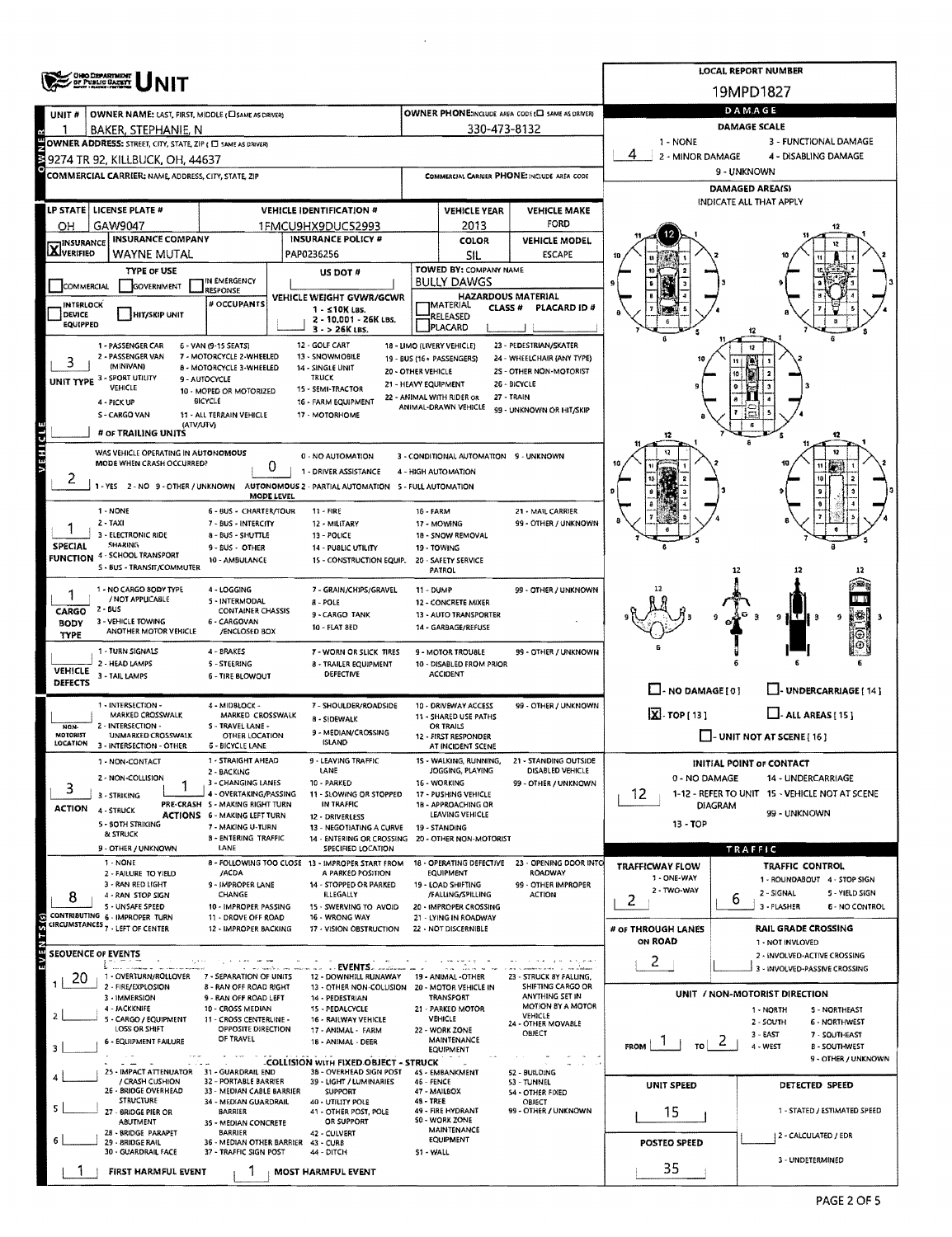|                                  | OHIO DEPARTMENT                                             |                                                          |                                                                                             |                                             |                                                 |                                                   |                                               | <b>LOCAL REPORT NUMBER</b>                                           |  |  |  |  |  |
|----------------------------------|-------------------------------------------------------------|----------------------------------------------------------|---------------------------------------------------------------------------------------------|---------------------------------------------|-------------------------------------------------|---------------------------------------------------|-----------------------------------------------|----------------------------------------------------------------------|--|--|--|--|--|
|                                  | <b>DF PUBLIC GATETY</b>                                     |                                                          |                                                                                             |                                             |                                                 |                                                   | 19MPD1827                                     |                                                                      |  |  |  |  |  |
| UNIT <sub>#</sub>                | OWNER NAME: LAST, FIRST, MIDDLE (CI SAME AS DRIVER)         |                                                          |                                                                                             |                                             |                                                 | OWNER PHONE:INCLUDE AREA CODE (E) SAME AS DRIVER) | <b>DAMAGE</b>                                 |                                                                      |  |  |  |  |  |
|                                  | BAKER, STEPHANIE, N                                         |                                                          |                                                                                             |                                             | 330-473-8132                                    |                                                   | <b>DAMAGE SCALE</b>                           |                                                                      |  |  |  |  |  |
|                                  | OWNER ADDRESS: STREET, CITY, STATE, ZIP ( E SAME AS DRIVER) |                                                          |                                                                                             |                                             |                                                 |                                                   | 1 - NONE                                      | 3 - FUNCTIONAL DAMAGE                                                |  |  |  |  |  |
|                                  | 39274 TR 92, KILLBUCK, OH, 44637                            |                                                          |                                                                                             |                                             |                                                 |                                                   | 4<br>2 - MINOR DAMAGE<br>4 - DISABLING DAMAGE |                                                                      |  |  |  |  |  |
|                                  | <b>COMMERCIAL CARRIER; NAME, ADDRESS, CITY, STATE, ZIP</b>  |                                                          |                                                                                             | COMMERCIAL CARRIER PHONE: INCLUDE AREA CODE |                                                 |                                                   | 9 - UNKNOWN                                   |                                                                      |  |  |  |  |  |
|                                  |                                                             |                                                          |                                                                                             |                                             |                                                 |                                                   | DAMAGED AREA(S)<br>INDICATE ALL THAT APPLY    |                                                                      |  |  |  |  |  |
|                                  | LP STATE   LICENSE PLATE #                                  |                                                          | <b>VEHICLE IDENTIFICATION #</b>                                                             |                                             | <b>VEHICLE YEAR</b>                             | <b>VEHICLE MAKE</b><br><b>FORD</b>                |                                               |                                                                      |  |  |  |  |  |
| OH                               | GAW9047<br><b>INSURANCE COMPANY</b>                         |                                                          | 1FMCU9HX9DUC52993<br><b>INSURANCE POLICY #</b>                                              |                                             | 2013<br><b>COLOR</b>                            | <b>VEHICLE MODEL</b>                              |                                               |                                                                      |  |  |  |  |  |
| <b>X</b> INSURANCE               | WAYNE MUTAL                                                 |                                                          | PAP0236256                                                                                  |                                             | SIL                                             | <b>ESCAPE</b>                                     |                                               |                                                                      |  |  |  |  |  |
|                                  | <b>TYPE OF USE</b>                                          |                                                          | <b>US DOT #</b>                                                                             |                                             | TOWED BY: COMPANY NAME                          |                                                   |                                               |                                                                      |  |  |  |  |  |
| COMMERCIAL                       | GOVERNMENT                                                  | IN EMERGENCY<br><b>RESPONSE</b>                          |                                                                                             |                                             | <b>BULLY DAWGS</b><br><b>HAZARDOUS MATERIAL</b> |                                                   |                                               |                                                                      |  |  |  |  |  |
| <b>INTERLOCK</b><br>DEVICE       | <b>HIT/SKIP UNIT</b>                                        | # OCCUPANTS                                              | <b>VEHICLE WEIGHT GVWR/GCWR</b><br>1 - <10K LBS.                                            |                                             | <b>MATERIAL</b><br>CLASS <sup>#</sup>           | PLACARD ID #                                      |                                               |                                                                      |  |  |  |  |  |
| EQUIPPED                         |                                                             |                                                          | 2 - 10,001 - 26K LBS.<br>$3 - 26K$ LBS.                                                     |                                             | RELEASED<br>PLACARD                             |                                                   |                                               |                                                                      |  |  |  |  |  |
|                                  | 1 - PASSENGER CAR                                           | 6 - VAN (9-15 SEATS)                                     | 12 - GOLF CART                                                                              |                                             | 18 - LIMO (LIVERY VEHICLE)                      | 23 - PEDESTRIAN/SKATER                            |                                               |                                                                      |  |  |  |  |  |
| 3                                | 2 - PASSENGER VAN<br>(MINIVAN)                              | 7 - MOTORCYCLE 2-WHEELED<br>8 - MOTORCYCLE 3-WHEELED     | 13 - SNOWMOBILE<br>14 - SINGLE UNIT                                                         |                                             | 19 - BUS (16+ PASSENGERS)                       | 24 - WHEELCHAIR (ANY TYPE)                        |                                               |                                                                      |  |  |  |  |  |
|                                  | UNIT TYPE 3 - SPORT UTILITY                                 | 9 - AUTOCYCLE                                            | TRUCK                                                                                       | 20 - OTHER VEHICLE<br>21 - HEAVY EQUIPMENT  |                                                 | 2S - OTHER NON-MOTORIST<br>26 - BICYCLE           |                                               |                                                                      |  |  |  |  |  |
|                                  | VEHICLE<br>4 - PICK UP                                      | 10 - MOPED OR MOTORIZED<br><b>BICYCLE</b>                | 15 - SEMI-TRACTOR<br>16 - FARM EQUIPMENT                                                    |                                             | 22 - ANIMAL WITH RIDER OR                       | 27 - TRAIN                                        |                                               |                                                                      |  |  |  |  |  |
|                                  | S - CARGO VAN                                               | 11 - ALL TERRAIN VEHICLE                                 | 17 - MOTORHOME                                                                              |                                             | ANIMAL-DRAWN VEHICLE                            | 99 - UNKNOWN OR HIT/SKIP                          |                                               |                                                                      |  |  |  |  |  |
|                                  | <b>(ATVAUTV)</b><br># or TRAILING UNITS                     |                                                          |                                                                                             |                                             |                                                 |                                                   | 12                                            | 12                                                                   |  |  |  |  |  |
| <b>VEHICLE</b>                   | WAS VEHICLE OPERATING IN AUTONOMOUS                         |                                                          | 0 - NO AUTOMATION                                                                           |                                             | 3 - CONDITIONAL AUTOMATION 9 - UNKNOWN          |                                                   |                                               |                                                                      |  |  |  |  |  |
|                                  | MODE WHEN CRASH OCCURRED?                                   | 0                                                        | 1 - DRIVER ASSISTANCE                                                                       |                                             | 4 - HIGH AUTOMATION                             |                                                   |                                               |                                                                      |  |  |  |  |  |
|                                  | 1-YES 2-NO 9-OTHER / UNKNOWN                                |                                                          | AUTONOMOUS 2 - PARTIAL AUTOMATION 5 - FULL AUTOMATION                                       |                                             |                                                 |                                                   |                                               |                                                                      |  |  |  |  |  |
|                                  |                                                             | MODE LEVEL                                               |                                                                                             |                                             |                                                 |                                                   |                                               |                                                                      |  |  |  |  |  |
|                                  | 1 - NONE<br>2 - TAXI                                        | 6 - BUS - CHARTER/TOUR<br>7 - BUS - INTERCITY            | 11 - FIRE<br>12 - MILITARY                                                                  | 16 - FARM                                   | 17 - MOWING                                     | 21 - MAIL CARRIER<br>99 - OTHER / UNKNOWN         |                                               |                                                                      |  |  |  |  |  |
|                                  | 3 - ELECTRONIC RIDE<br><b>SHARING</b>                       | 8 - BUS - SHUTTLE                                        | 13 - POLICE                                                                                 |                                             | 18 - SNOW REMOVAL                               |                                                   |                                               |                                                                      |  |  |  |  |  |
| SPECIAL                          | FUNCTION 4 - SCHOOL TRANSPORT                               | 9 - BUS - OTHER<br>10 - AMBULANCE                        | 14 - PUBLIC UTILITY<br>15 - CONSTRUCTION EQUIP,                                             |                                             | 19 - TOWING<br>20 - SAFETY SERVICE              |                                                   |                                               |                                                                      |  |  |  |  |  |
|                                  | 5 - BUS - TRANSIT/COMMUTER                                  |                                                          |                                                                                             |                                             | PATROL                                          |                                                   |                                               | 12                                                                   |  |  |  |  |  |
|                                  | 1 - NO CARGO 8ODY TYPE                                      | 4 - LOGGING                                              | 7 - GRAIN/CHIPS/GRAVEL                                                                      | 11 - DUMP                                   |                                                 | 99 - OTHER / UNKNOWN                              |                                               |                                                                      |  |  |  |  |  |
| CARGO                            | / NOT APPLICABLE<br>2 - BUS                                 | <b>S - INTERMODAL</b><br><b>CONTAINER CHASSIS</b>        | 8 - POLE<br>9 - CARGO TANK                                                                  |                                             | 12 - CONCRETE MIXER<br>13 - AUTO TRANSPORTER    |                                                   |                                               |                                                                      |  |  |  |  |  |
| <b>BODY</b>                      | 3 - VEHICLE TOWING<br>ANOTHER MOTOR VEHICLE                 | 6 - CARGOVAN<br>/ENCLOSED BOX                            | 10 - FLAT 8ED                                                                               |                                             | 14 - GARBAGE/REFUSE                             |                                                   |                                               | 9<br>9                                                               |  |  |  |  |  |
| TYPE                             | 1 - TURN SIGNALS                                            | 4 - BRAKES                                               |                                                                                             |                                             |                                                 |                                                   |                                               | Θ                                                                    |  |  |  |  |  |
|                                  | 2 - HEAD LAMPS                                              | <b>5 - STEERING</b>                                      | 7 - WORN OR SLICK TIRES<br><b>8 - TRAILER EQUIPMENT</b>                                     |                                             | 9 - MOTOR TROUBLE<br>10 - DISABLED FROM PRIOR   | 99 - OTHER / UNKNOWN                              |                                               |                                                                      |  |  |  |  |  |
| <b>VEHICLE</b><br><b>DEFECTS</b> | 3 - TAIL LAMPS                                              | <b>6 - TIRE BLOWOUT</b>                                  | DEFECTIVE                                                                                   |                                             | <b>ACCIDENT</b>                                 |                                                   |                                               |                                                                      |  |  |  |  |  |
|                                  | 1 - INTERSECTION -                                          |                                                          |                                                                                             |                                             |                                                 | 99 - OTHER / UNKNOWN                              | $\Box$ - NO DAMAGE [ 0 ]                      | J- UNDERCARRIAGE [ 14 ]                                              |  |  |  |  |  |
|                                  | MARKED CROSSWALK                                            | 4 - MIDBLOCK -<br>MARKED CROSSWALK                       | 7 - SHOULDER/ROADSIDE<br><b>8 - SIDEWALK</b>                                                |                                             | 10 - DRIVEWAY ACCESS<br>11 - SHARED USE PATHS   |                                                   | $X - TOP [13]$                                | $\Box$ - ALL AREAS [ 15 ]                                            |  |  |  |  |  |
| NON-<br>MOTORIST                 | 2 - INTERSECTION -<br>UNMARKED CROSSWALK                    | S - TRAVEL LANE -<br>OTHER LOCATION                      | 9 - MEDIAN/CROSSING                                                                         |                                             | <b>OR TRAILS</b><br>12 - FIRST RESPONDER        |                                                   |                                               | - UNIT NOT AT SCENE [16]                                             |  |  |  |  |  |
| LOCATION                         | 3 INTERSECTION OTHER                                        | <b>6 - BICYCLE LANE</b>                                  | <b>ISLAND</b>                                                                               |                                             | AT INCIDENT SCENE                               |                                                   |                                               |                                                                      |  |  |  |  |  |
|                                  | 1 - NON-CONTACT                                             | 1 - STRAIGHT AHEAD<br>2 - BACKING                        | LEAVING TRAFFIC<br>LANE                                                                     |                                             | 15 - WALKING, RUNNING,<br>JOGGING, PLAYING      | 21 - STANDING OUTSIDE<br>DISABLED VEHICLE         |                                               | <b>INITIAL POINT OF CONTACT</b>                                      |  |  |  |  |  |
| 3                                | 2 - NON-COLLISION                                           | 3 - CHANGING LANES<br>4 - OVERTAKING/PASSING             | 10 - PARKED<br>11 - SLOWING OR STOPPED                                                      |                                             | 16 - WORKING<br>17 - PUSHING VEHICLE            | 99 - OTHER / UNKNOWN                              | 0 - NO DAMAGE<br>12                           | 14 - UNDERCARRIAGE<br>1-12 - REFER TO UNIT 15 - VEHICLE NOT AT SCENE |  |  |  |  |  |
| ACTION                           | 3 - STRIKING<br>4 - STRUCK                                  | PRE-CRASH S - MAKING RIGHT TURN                          | IN TRAFFIC                                                                                  |                                             | 18 - APPROACHING OR                             |                                                   | <b>DIAGRAM</b><br>99 - UNKNOWN                |                                                                      |  |  |  |  |  |
|                                  | 5 - BOTH STRIKING                                           | <b>ACTIONS 6 - MAKING LEFT TURN</b><br>7 - MAKING U-TURN | 12 - DRIVERLESS<br>13 - NEGOTIATING A CURVE                                                 |                                             | LEAVING VEHICLE<br>19 - STANDING                |                                                   | 13 - TOP                                      |                                                                      |  |  |  |  |  |
|                                  | & STRUCK                                                    | <b>B - ENTERING TRAFFIC</b>                              | 14 - ENTERING OR CROSSING 20 - OTHER NON-MOTORIST                                           |                                             |                                                 |                                                   |                                               |                                                                      |  |  |  |  |  |
|                                  | 9 - OTHER / UNKNOWN<br>1 - NONE                             | LANE                                                     | SPECIFIED LOCATION<br>8 - FOLLOWING TOO CLOSE 13 - IMPROPER START FROM                      |                                             | 18 - OPERATING DEFECTIVE                        | 23 - OPENING DOOR INTO                            |                                               | TRAFFIC                                                              |  |  |  |  |  |
|                                  | 2 - FAILURE TO YIELD                                        | /ACDA                                                    | A PARKED POSITION                                                                           |                                             | <b>EQUIPMENT</b>                                | <b>ROADWAY</b>                                    | <b>TRAFFICWAY FLOW</b><br>1 - ONE-WAY         | TRAFFIC CONTROL<br>1 - ROUNDABOUT 4 - STOP SIGN                      |  |  |  |  |  |
| 8                                | 3 - RAN RED LIGHT<br>4 - RAN STOP SIGN                      | 9 - IMPROPER LANE<br>CHANGE                              | 14 - STOPPED OR PARKED<br><b>ILLEGALLY</b>                                                  |                                             | 19 - LOAD SHIFTING<br>/FALLING/SPILLING         | 99 - OTHER IMPROPER<br><b>ACTION</b>              | 2 - TWO-WAY                                   | 2 - SIGNAL<br>5 - YIELD SIGN<br>ь                                    |  |  |  |  |  |
|                                  | S - UNSAFE SPEED<br>CONTRIBUTING 6 - IMPROPER TURN          | 10 - IMPROPER PASSING<br>11 - DROVE OFF ROAD             | 15 - SWERVING TO AVOID<br>16 - WRONG WAY                                                    |                                             | 20 - IMPROPER CROSSING<br>21 - LYING IN ROADWAY |                                                   | $\overline{2}$                                | 3 - FLASHER<br><b>6 - NO CONTROL</b>                                 |  |  |  |  |  |
| $5051M_{\odot}$                  | CIRCUMSTANCES <sub>7</sub> . LEFT OF CENTER                 | 12 - IMPROPER BACKING                                    | 17 - VISION OBSTRUCTION                                                                     |                                             | 22 - NOT DISCERNIBLE                            |                                                   | # OF THROUGH LANES                            | <b>RAIL GRADE CROSSING</b>                                           |  |  |  |  |  |
| <b>SEOUENCE OF EVENTS</b>        |                                                             |                                                          |                                                                                             |                                             |                                                 |                                                   | ON ROAD                                       | 1 - NOT INVLOVED                                                     |  |  |  |  |  |
| $\overline{E}$                   | £.  .                                                       |                                                          | EVENTS                                                                                      |                                             |                                                 |                                                   | 2                                             | 2 - INVOLVED-ACTIVE CROSSING<br>3 - INVOLVED-PASSIVE CROSSING        |  |  |  |  |  |
| 20                               | 1 - OVERTURN/ROLLOVER<br>2 - FIRE/EXPLOSION                 | 7 - SEPARATION OF UNITS<br>8 - RAN OFF ROAD RIGHT        | 12 - DOWNHILL RUNAWAY 19 - ANIMAL -OTHER<br>13 - OTHER NON-COLLISION  20 - MOTOR VEHICLE IN |                                             |                                                 | 23 - STRUCK BY FALLING,<br>SHIFTING CARGO OR      |                                               |                                                                      |  |  |  |  |  |
|                                  | 3 - IMMERSION                                               | 9 - RAN OFF ROAD LEFT                                    | 14 - PEDESTRIAN                                                                             |                                             | <b>TRANSPORT</b>                                | ANYTHING SET IN<br>MOTION BY A MOTOR              |                                               | UNIT / NON-MOTORIST DIRECTION                                        |  |  |  |  |  |
| 2                                | 4 - JACKKNIFE<br>5 - CARGO / EQUIPMENT                      | 10 - CROSS MEDIAN<br>11 - CROSS CENTERLINE -             | 15 - PEDALCYCLE<br>16 - RAILWAY VEHICLE                                                     |                                             | 21 - PARKED MOTOR<br>VEHICLE                    | VEHICLE<br>24 - OTHER MOVABLE                     |                                               | 1 - NORTH<br>5 - NORTHEAST<br>2 - SOUTH<br>6 - NORTHWEST             |  |  |  |  |  |
|                                  | LOSS OR SHIFT<br>6 - EQUIPMENT FAILURE                      | OPPOSITE DIRECTION<br>OF TRAVEL                          | 17 - ANIMAL - FARM<br>18 - ANIMAL - DEER                                                    |                                             | 22 - WORK ZONE<br>MAINTENANCE                   | OBJECT                                            |                                               | $3 - EAST$<br>7 - SOUTHEAST<br>2                                     |  |  |  |  |  |
| 3                                |                                                             |                                                          |                                                                                             |                                             | EQUIPMENT                                       |                                                   | TO I<br>FROM                                  | 4 - WEST<br><b>B-SOUTHWEST</b><br>9 - OTHER / UNKNOWN                |  |  |  |  |  |
|                                  | 25 - IMPACT ATTENUATOR 31 - GUARDRAIL END                   |                                                          | <b>COLLISION WITH FIXED OBJECT - STRUCK</b><br>38 - OVERHEAD SIGN POST                      |                                             | 45 - EMBANKMENT                                 | 52 - BUILDING                                     |                                               |                                                                      |  |  |  |  |  |
|                                  | / CRASH CUSHION<br>26 - BRIDGE OVERHEAD                     | 32 - PORTABLE BARRIER<br>33 - MEDIAN CABLE BARRIER       | 39 - LIGHT / LUMINARIES<br><b>SUPPORT</b>                                                   | 46 - FENCE                                  | 47 - MAILBOX                                    | 53 - TUNNEL<br>54 - OTHER FIXED                   | UNIT SPEED                                    | DETECTED SPEED                                                       |  |  |  |  |  |
|                                  | <b>STRUCTURE</b><br>27 - BRIDGE PIER OR                     | 34 - MEDIAN GUARDRAIL<br>BARRIER                         | 40 - UTILITY POLE<br>41 - OTHER POST, POLE                                                  | <b>48 - TREE</b>                            | 49 - FIRE HYDRANT                               | OBJECT<br>99 - OTHER / UNKNOWN                    | 15                                            | 1 - STATED / ESTIMATED SPEED                                         |  |  |  |  |  |
|                                  | <b>ABUTMENT</b>                                             | 35 - MEDIAN CONCRETE                                     | OR SUPPORT                                                                                  |                                             | <b>SO - WORK ZONE</b><br><b>MAINTENANCE</b>     |                                                   |                                               |                                                                      |  |  |  |  |  |
|                                  | 28 - BRIDGE PARAPET<br>29 - BRIDGE RAIL                     | <b>BARRIER</b><br>36 - MEDIAN OTHER BARRIER 43 - CURB    | 42 - CULVERT                                                                                |                                             | EQUIPMENT                                       |                                                   | <b>POSTEO SPEED</b>                           | 2 - CALCULATED / EDR                                                 |  |  |  |  |  |
|                                  | 30 - GUARDRAIL FACE                                         | 37 - TRAFFIC SIGN POST                                   | 44 - DITCH                                                                                  | 51 - WALL                                   |                                                 |                                                   |                                               | 3 - UNDETERMINED                                                     |  |  |  |  |  |
|                                  | FIRST HARMFUL EVENT                                         |                                                          | <b>MOST HARMFUL EVENT</b>                                                                   |                                             |                                                 |                                                   | 35                                            |                                                                      |  |  |  |  |  |

 $\bar{\bar{z}}$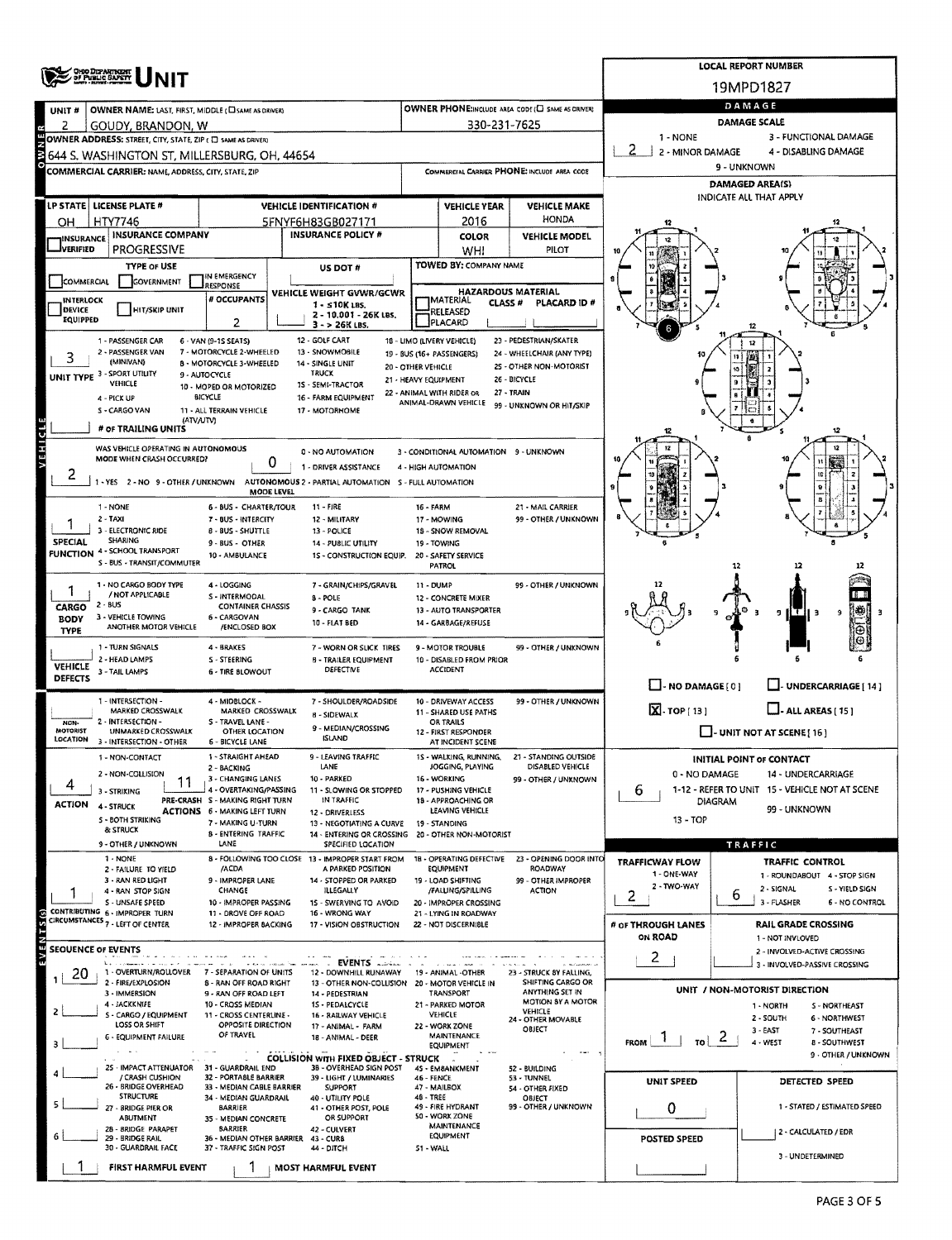|                                   |                                                                    |                                                       |                                                                                          |                                                          |                                                    |                                                       |                                               | <b>LOCAL REPORT NUMBER</b>                                           |  |  |  |  |  |
|-----------------------------------|--------------------------------------------------------------------|-------------------------------------------------------|------------------------------------------------------------------------------------------|----------------------------------------------------------|----------------------------------------------------|-------------------------------------------------------|-----------------------------------------------|----------------------------------------------------------------------|--|--|--|--|--|
|                                   | <b>CHIO DIZARTMENT</b><br>OF PUBLIC SAFETY                         |                                                       |                                                                                          |                                                          |                                                    |                                                       |                                               | 19MPD1827                                                            |  |  |  |  |  |
| UNIT#                             | OWNER NAME: LAST, FIRST, MIDDLE (CI SAME AS DRIVER)                |                                                       |                                                                                          |                                                          |                                                    | OWNER PHONE:INCLUDE AREA CODE (L) SAME AS DRIVERY     | DAMAGE                                        |                                                                      |  |  |  |  |  |
| z                                 | GOUDY, BRANDON, W                                                  |                                                       |                                                                                          |                                                          | 330-231-7625                                       |                                                       | <b>DAMAGE SCALE</b>                           |                                                                      |  |  |  |  |  |
|                                   | OWNER ADDRESS: STREET, CITY, STATE, ZIP ( E SAME AS DRIVER)        |                                                       |                                                                                          |                                                          |                                                    |                                                       | 1 - NONE<br>3 - FUNCTIONAL DAMAGE             |                                                                      |  |  |  |  |  |
| 3                                 | 644 S. WASHINGTON ST. MILLERSBURG. OH. 44654                       |                                                       |                                                                                          |                                                          |                                                    |                                                       | 2<br>2 - MINOR DAMAGE<br>4 - DISABLING DAMAGE |                                                                      |  |  |  |  |  |
|                                   | COMMERCIAL CARRIER: NAME, ADDRESS, CITY, STATE, ZIP                |                                                       |                                                                                          |                                                          |                                                    | COMMERCIAL CARRIER PHONE: INCLUDE AREA CODE           | 9 - UNKNOWN<br><b>DAMAGED AREA(S)</b>         |                                                                      |  |  |  |  |  |
|                                   |                                                                    |                                                       |                                                                                          |                                                          |                                                    |                                                       | INDICATE ALL THAT APPLY                       |                                                                      |  |  |  |  |  |
|                                   | LP STATE   LICENSE PLATE #                                         |                                                       | <b>VEHICLE IDENTIFICATION #</b>                                                          |                                                          | <b>VEHICLE YEAR</b>                                | <b>VEHICLE MAKE</b><br>HONDA                          |                                               |                                                                      |  |  |  |  |  |
| он<br><b>INSURANCE</b>            | HTY7746<br><b>INSURANCE COMPANY</b>                                |                                                       | 5FNYF6H83GB027171<br><b>INSURANCE POLICY #</b>                                           |                                                          | 2016<br>COLOR                                      | <b>VEHICLE MODEL</b>                                  |                                               |                                                                      |  |  |  |  |  |
| <b>J</b> VERIFIED                 | PROGRESSIVE                                                        |                                                       |                                                                                          |                                                          | <b>WHI</b>                                         | PILOT                                                 |                                               |                                                                      |  |  |  |  |  |
|                                   | <b>TYPE OF USE</b>                                                 |                                                       | <b>US DOT #</b>                                                                          |                                                          | TOWED BY: COMPANY NAME                             |                                                       |                                               |                                                                      |  |  |  |  |  |
| <b>COMMERCIAL</b>                 | GOVERNMENT                                                         | IN EMERGENCY<br>RESPONSE                              | VEHICLE WEIGHT GVWR/GCWR                                                                 |                                                          |                                                    | <b>HAZARDOUS MATERIAL</b>                             |                                               |                                                                      |  |  |  |  |  |
| <b>INTERLOCK</b><br><b>DEVICE</b> | HIT/SKIP UNIT                                                      | # OCCUPANTS                                           | $1 - 510K$ LBS.                                                                          |                                                          | <b>IMATERIAL</b><br>CLASS <sup>#</sup><br>RELEASED | PLACARD ID #                                          |                                               |                                                                      |  |  |  |  |  |
| EQUIPPED                          |                                                                    | 2                                                     | 2 - 10.001 - 26K LBS.<br>$3 - 26K$ LBS.                                                  |                                                          | PLACARD                                            |                                                       |                                               |                                                                      |  |  |  |  |  |
|                                   | 1 - PASSENGER CAR                                                  | 6 - VAN (9-1S SEATS)                                  | 12 - GOLF CART                                                                           |                                                          | 18 - LIMO (LIVERY VEHICLE)                         | 23 - PEDESTRIAN/SKATER                                |                                               |                                                                      |  |  |  |  |  |
|                                   | 2 - PASSENGER VAN<br>(MINIVAN)                                     | 7 - MOTORCYCLE 2-WHEELED<br>8 - MOTORCYCLE 3-WHEELED  | 13 - SNOWMOBILE<br>14 - SINGLE UNIT                                                      | 20 - OTHER VEHICLE                                       | 19 - BUS (16+ PASSENGERS)                          | 24 - WHEELCHAIR (ANY TYPE)<br>25 - OTHER NON-MOTORIST |                                               |                                                                      |  |  |  |  |  |
|                                   | UNIT TYPE 3 - SPORT UTILITY<br>VEHICLE                             | 9 - AUTOCYCLE                                         | <b>TRUCK</b><br>1S - SEMI-TRACTOR                                                        | 21 - HEAVY EQUIPMENT                                     |                                                    | 26 - BICYCLE                                          |                                               |                                                                      |  |  |  |  |  |
|                                   | 4 - PICK UP                                                        | 10 - MOPED OR MOTORIZED<br>BICYCLE                    | 16 - FARM EQUIPMENT                                                                      |                                                          | 22 - ANIMAL WITH RIDER OR<br>ANIMAL-DRAWN VEHICLE  | 27 - TRAIN                                            |                                               |                                                                      |  |  |  |  |  |
|                                   | S - CARGO VAN<br>(ATV/UTV)                                         | 11 - ALL TERRAIN VEHICLE                              | 17 - MOTORHOME                                                                           |                                                          |                                                    | 99 - UNKNOWN OR HIT/SKIP                              |                                               |                                                                      |  |  |  |  |  |
|                                   | # OF TRAILING UNITS                                                |                                                       |                                                                                          |                                                          |                                                    |                                                       |                                               | 12                                                                   |  |  |  |  |  |
| <b>VEHICLE</b>                    | WAS VEHICLE OPERATING IN AUTONOMOUS<br>MODE WHEN CRASH OCCURRED?   |                                                       | 0 - NO AUTOMATION                                                                        |                                                          | 3 - CONDITIONAL AUTOMATION 9 - UNKNOWN             |                                                       |                                               | 12                                                                   |  |  |  |  |  |
| ۷                                 |                                                                    | 0                                                     | 1 - DRIVER ASSISTANCE                                                                    |                                                          | 4 - HIGH AUTOMATION                                |                                                       |                                               |                                                                      |  |  |  |  |  |
|                                   |                                                                    | MODE LEVEL                                            | 1 - YES 2 - NO 9 - OTHER / UNKNOWN AUTONOMOUS 2 - PARTIAL AUTOMATION S - FULL AUTOMATION |                                                          |                                                    |                                                       |                                               |                                                                      |  |  |  |  |  |
|                                   | 1 - NONE                                                           | <b>6 - BUS - CHARTER/TOUR</b>                         | 11 - FIRE                                                                                | 16 - FARM                                                |                                                    | 21 - MAIL CARRIER                                     |                                               |                                                                      |  |  |  |  |  |
|                                   | 2 - TAXI<br>3 - ELECTRONIC RIDE                                    | 7 - BUS - INTERCITY<br>8 - BUS - SHUTTLE              | 12 - MILITARY<br>13 - POLICE                                                             | 99 - OTHER / UNKNOWN<br>17 - MOWING<br>18 - SNOW REMOVAL |                                                    |                                                       |                                               |                                                                      |  |  |  |  |  |
| <b>SPECIAL</b>                    | <b>SHARING</b>                                                     | 9 - BUS - OTHER                                       | 14 - PUBLIC UTILITY                                                                      |                                                          | 19 - TOWING                                        |                                                       |                                               |                                                                      |  |  |  |  |  |
|                                   | <b>FUNCTION 4 - SCHOOL TRANSPORT</b><br>S - BUS - TRANSIT/COMMUTER | 10 - AMBULANCE                                        | 1S - CONSTRUCTION EQUIP.                                                                 |                                                          | 20 - SAFETY SERVICE<br><b>PATROL</b>               |                                                       |                                               | 12<br>12                                                             |  |  |  |  |  |
|                                   | 1 - NO CARGO BODY TYPE                                             | 4 - LOGGING                                           | 7 - GRAIN/CHIPS/GRAVEL                                                                   | 11 - DUMP                                                |                                                    | 99 - OTHER / UNKNOWN                                  |                                               |                                                                      |  |  |  |  |  |
|                                   | / NOT APPLICABLE<br>2 - BUS                                        | S - INTERMODAL<br><b>CONTAINER CHASSIS</b>            | $8 - POLE$                                                                               |                                                          | <b>12 - CONCRETE MIXER</b>                         |                                                       |                                               |                                                                      |  |  |  |  |  |
| CARGO<br><b>BODY</b>              | 3 - VEHICLE TOWING                                                 | 6 - CARGOVAN                                          | 9 - CARGO TANK<br><b>10 - FLAT BED</b>                                                   |                                                          | 13 - AUTO TRANSPORTER<br>14 - GARBAGE/REFUSE       |                                                       |                                               | IΤ<br>9<br>9 I                                                       |  |  |  |  |  |
| <b>TYPE</b>                       | ANOTHER MOTOR VEHICLE                                              | /ENCLOSED BOX                                         |                                                                                          |                                                          |                                                    |                                                       |                                               | Θ                                                                    |  |  |  |  |  |
|                                   | 1 - TURN SIGNALS<br>2 - HEAD LAMPS                                 | 4 - BRAKES<br>S - STEERING                            | 7 - WORN OR SLICK TIRES<br><b>B - TRAILER EQUIPMENT</b>                                  |                                                          | 9 - MOTOR TROUBLE<br>10 - DISABLED FROM PRIOR      | 99 - OTHER / UNKNOWN                                  |                                               |                                                                      |  |  |  |  |  |
| <b>VEHICLE</b><br><b>DEFECTS</b>  | 3 - TAIL LAMPS                                                     | 6 - TIRE BLOWOUT                                      | <b>DEFECTIVE</b>                                                                         |                                                          | <b>ACCIDENT</b>                                    |                                                       |                                               |                                                                      |  |  |  |  |  |
|                                   |                                                                    |                                                       |                                                                                          |                                                          |                                                    |                                                       | $\Box$ - NO DAMAGE $[0]$                      | <b>UNDERCARRIAGE [ 14 ]</b>                                          |  |  |  |  |  |
|                                   | 1 - INTERSECTION -<br>MARKED CROSSWALK                             | 4 - MIDBLOCK -<br>MARKED CROSSWALK                    | 7 - SHOULDER/ROADSIDE<br>8 - SIDEWALK                                                    |                                                          | 10 - DRIVEWAY ACCESS<br>11 - SHARED USE PATHS      | 99 - OTHER / UNKNOWN                                  | Х. тор [13]                                   | $\Box$ - ALL AREAS [ 15 ]                                            |  |  |  |  |  |
| NON-<br>MOTORIST                  | 2 - INTERSECTION -<br>UNMARKED CROSSWALK                           | S - TRAVEL LANE -<br>OTHER LOCATION                   | 9 - MEDIAN/CROSSING                                                                      |                                                          | OR TRAILS<br>12 - FIRST RESPONDER                  |                                                       | $\Box$ - UNIT NOT AT SCENE [16]               |                                                                      |  |  |  |  |  |
| LOCATION                          | 3 - INTERSECTION - OTHER                                           | <b>6 - BICYCLE LANE</b>                               | <b>ISLAND</b>                                                                            |                                                          | AT INCIDENT SCENE                                  |                                                       |                                               |                                                                      |  |  |  |  |  |
|                                   | 1 - NON-CONTACT                                                    | 1 - STRAIGHT AHEAD<br>2 - BACKING                     | - LEAVING TRAFFIC<br>LANE                                                                |                                                          | WALKING, RUNNING,<br>JOGGING, PLAYING              | <b>Z1 - STANDING OUTSIDE</b><br>DISABLED VEHICLE      |                                               | INITIAL POINT OF CONTACT                                             |  |  |  |  |  |
| 4                                 | 2 - NON-COLLISION<br>11<br>3 - STRIKING                            | 3 - CHANGING LANES<br>4 - OVERTAKING/PASSING          | 10 - PARKED<br>11 - SLOWING OR STOPPED                                                   |                                                          | 16 - WORKING<br>17 - PUSHING VEHICLE               | 99 - OTHER / UNKNOWN                                  | 0 - NO DAMAGE<br>6                            | 14 - UNDERCARRIAGE<br>1-12 - REFER TO UNIT 15 - VEHICLE NOT AT SCENE |  |  |  |  |  |
| <b>ACTION</b>                     | 4 - STRUCK                                                         | PRE-CRASH S - MAKING RIGHT TURN                       | IN TRAFFIC                                                                               |                                                          | 18 - APPROACHING OR<br>LEAVING VEHICLE             |                                                       |                                               | <b>DIAGRAM</b><br>99 - UNKNOWN                                       |  |  |  |  |  |
|                                   | <b>5 - BOTH STRIKING</b>                                           | ACTIONS 6 - MAKING LEFT TURN<br>7 - MAKING U-TURN     | 12 - DRIVERLESS<br>13 - NEGOTIATING A CURVE                                              |                                                          | 19 - STANDING                                      |                                                       | 13 - TOP                                      |                                                                      |  |  |  |  |  |
|                                   | & STRUCK<br>9 - OTHER / UNKNOWN                                    | 8 - ENTERING TRAFFIC<br>LANE                          | 14 - ENTERING OR CROSSING 20 - OTHER NON-MOTORIST<br>SPECIFIED LOCATION                  |                                                          |                                                    |                                                       |                                               | TRAFFIC                                                              |  |  |  |  |  |
|                                   | 1 - NONE                                                           |                                                       | 8 - FOLLOWING TOO CLOSE 13 - IMPROPER START FROM                                         |                                                          | 1B - OPERATING DEFECTIVE                           | 23 - OPENING DOOR INTO                                | TRAFFICWAY FLOW                               | <b>TRAFFIC CONTROL</b>                                               |  |  |  |  |  |
|                                   | 2 - FAILURE TO YIELD<br>3 - RAN RED LIGHT                          | /ACDA<br>9 - IMPROPER LANE                            | A PARKED POSITION<br>14 - STOPPED OR PARKED                                              |                                                          | <b>EQUIPMENT</b><br>19 - LOAD SHIFTING             | <b>ROADWAY</b><br>99 - OTHER IMPROPER                 | 1 - ONE-WAY                                   | 1 - ROUNDABOUT 4 - STOP SIGN                                         |  |  |  |  |  |
|                                   | 4 - RAN STOP SIGN<br>S - UNSAFE SPEED                              | CHANGE<br>10 - IMPROPER PASSING                       | <b>ILLEGALLY</b><br>15 - SWERVING TO AVOID                                               |                                                          | /FALLING/SPILLING<br>20 - IMPROPER CROSSING        | <b>ACTION</b>                                         | 2 - TWO-WAY<br>2                              | 2 - SIGNAL<br>S - YIELD SIGN<br>ь<br>3 - FLASHER<br>6 - NO CONTROL   |  |  |  |  |  |
| 5(5)                              | CONTRIBUTING 6 - IMPROPER TURN                                     | 11 - DROVE OFF ROAD                                   | 16 - WRONG WAY                                                                           |                                                          | 21 - LYING IN ROADWAY                              |                                                       |                                               |                                                                      |  |  |  |  |  |
|                                   | CIRCUMSTANCES <sub>7</sub> - LEFT OF CENTER                        | 12 - IMPROPER BACKING                                 | 17 - VISION OBSTRUCTION                                                                  |                                                          | 22 - NOT DISCERNIBLE                               |                                                       | # OF THROUGH LANES<br>ON ROAD                 | <b>RAIL GRADE CROSSING</b><br>1 - NOT INVLOVED                       |  |  |  |  |  |
| <b>LN3/5</b>                      | <b>SEOUENCE OF EVENTS</b>                                          |                                                       |                                                                                          |                                                          |                                                    |                                                       | 2                                             | 2 - INVOLVED-ACTIVE CROSSING                                         |  |  |  |  |  |
| 20                                | <b>Linda</b><br>1 - OVERTURN/ROLLOVER                              | 7 - SEPARATION OF UNITS                               | EVENTS<br>$\sim$<br>12 - DOWNHILL RUNAWAY                                                |                                                          | 19 - ANIMAL -OTHER                                 | 23 - STRUCK 8Y FALLING,                               |                                               | 3 - INVOLVED-PASSIVE CROSSING                                        |  |  |  |  |  |
|                                   | 2 - FIRE/EXPLOSION<br>3 - IMMERSION                                | 8 - RAN OFF ROAD RIGHT<br>9 - RAN OFF ROAD LEFT       | 13 - OTHER NON-COLLISION 20 - MOTOR VEHICLE IN<br>14 - PEDESTRIAN                        |                                                          | TRANSPORT                                          | SHIFTING CARGO OR<br>ANYTHING SET IN                  |                                               | UNIT / NON-MOTORIST DIRECTION                                        |  |  |  |  |  |
|                                   | 4 - JACKKNIFE<br>S - CARGO / EQUIPMENT                             | 10 - CROSS MEDIAN                                     | 15 - PEDALCYCLE                                                                          |                                                          | 21 - PARKED MOTOR<br>VEHICLE                       | <b>MOTION BY A MOTOR</b><br>VEHICLE                   |                                               | 1 - NORTH<br><b>S-NORTHEAST</b>                                      |  |  |  |  |  |
|                                   | LOSS OR SHIFT                                                      | 11 - CROSS CENTERLINE -<br>OPPOSITE DIRECTION         | 16 - RAILWAY VEHICLE<br>17 - ANIMAL - FARM                                               |                                                          | 22 - WORK ZONE                                     | 24 - OTHER MOVABLE<br>OBJECT                          |                                               | 2 - SOUTH<br>6 - NORTHWEST<br>$3 - EAST$<br>7 - SOUTHEAST            |  |  |  |  |  |
|                                   | 6 - EQUIPMENT FAILURE                                              | OF TRAVEL                                             | 18 - ANIMAL - DEER                                                                       |                                                          | MAINTENANCE<br>EQUIPMENT                           |                                                       | <b>FROM</b><br>TO I                           | $\sim$<br>4 - WEST<br><b>8 - SOUTHWEST</b>                           |  |  |  |  |  |
|                                   | 25 - IMPACT ATTENUATOR                                             | 31 - GUARDRAIL END                                    | <b>COLLISION WITH FIXED OBJECT - STRUCK</b><br>3B - OVERHEAD SIGN POST                   |                                                          | 4S - EMBANKMENT                                    | $\sim$ $\sim$ $\sim$<br>52 - BUILDING                 |                                               | 9 - OTHER / UNKNOWN                                                  |  |  |  |  |  |
|                                   | / CRASH CUSHION<br>26 - BRIDGE OVERHEAD                            | 32 - PORTABLE BARRIER<br>33 - MEDIAN CABLE BARRIER    | 39 - LIGHT / LUMINARIES<br>SUPPORT                                                       | 46 - FENCE                                               | 47 - MAILBOX                                       | 53 - TUNNEL<br>54 - OTHER FIXED                       | <b>UNIT SPEED</b>                             | DETECTED SPEED                                                       |  |  |  |  |  |
|                                   | <b>STRUCTURE</b>                                                   | 34 - MEDIAN GUARDRAIL                                 | 40 - UTILITY POLE                                                                        | 48 - TREE                                                | 49 - FIRE HYDRANT                                  | OBJECT<br>99 - OTHER / UNKNOWN                        |                                               | 1 - STATED / ESTIMATED SPEED                                         |  |  |  |  |  |
|                                   | 27 - BRIDGE PIER OR<br>ABUTMENT                                    | BARRIER<br>35 - MEDIAN CONCRETE                       | 41 - OTHER POST, POLE<br>OR SUPPORT                                                      |                                                          | 50 - WORK ZONE                                     |                                                       | 0                                             |                                                                      |  |  |  |  |  |
|                                   | 28 - 8RIDGE PARAPET<br>29 - BRIDGE RAIL                            | <b>BARRIER</b><br>36 - MEDIAN OTHER BARRIER 43 - CURS | 42 - CULVERT                                                                             |                                                          | MAINTENANCE<br>EQUIPMENT                           |                                                       | POSTED SPEED                                  | 2 - CALCULATED / EDR                                                 |  |  |  |  |  |
|                                   | 30 - GUARDRAIL FACE                                                | 37 - TRAFFIC SIGN POST                                | 44 - DITCH                                                                               | 51 - WALL                                                |                                                    |                                                       |                                               | 3 - UNDETERMINED                                                     |  |  |  |  |  |
|                                   | FIRST HARMFUL EVENT                                                |                                                       | <b>MOST HARMFUL EVENT</b>                                                                |                                                          |                                                    |                                                       |                                               |                                                                      |  |  |  |  |  |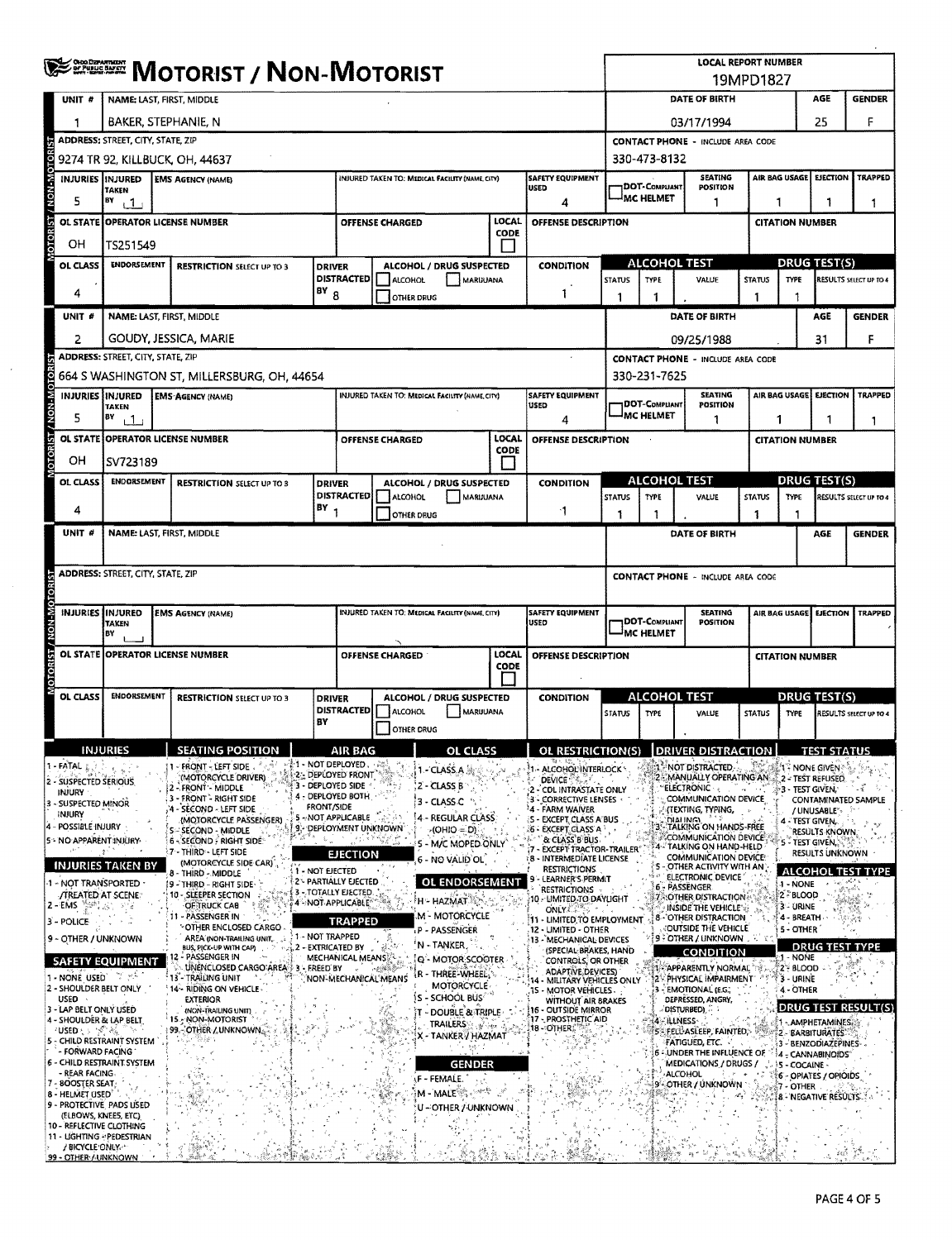|                                                             | <b>ERETHE MOTORIST / NON-MOTORIST</b>    |                                                                                                                       |                   |                                                |                                                                                        |                                                       |                         |                                                                               | <b>LOCAL REPORT NUMBER</b><br>19MPD1827      |                                                    |                                                                                  |                                                     |                                           |                                                |                               |
|-------------------------------------------------------------|------------------------------------------|-----------------------------------------------------------------------------------------------------------------------|-------------------|------------------------------------------------|----------------------------------------------------------------------------------------|-------------------------------------------------------|-------------------------|-------------------------------------------------------------------------------|----------------------------------------------|----------------------------------------------------|----------------------------------------------------------------------------------|-----------------------------------------------------|-------------------------------------------|------------------------------------------------|-------------------------------|
| UNIT #                                                      | NAME: LAST, FIRST, MIDDLE                |                                                                                                                       |                   |                                                |                                                                                        |                                                       |                         |                                                                               | <b>DATE OF BIRTH</b><br>AGE<br><b>GENDER</b> |                                                    |                                                                                  |                                                     |                                           |                                                |                               |
| 1                                                           | BAKER, STEPHANIE, N                      |                                                                                                                       |                   |                                                |                                                                                        |                                                       |                         |                                                                               | 25<br>03/17/1994                             |                                                    |                                                                                  |                                                     |                                           |                                                | F                             |
|                                                             | <b>ADDRESS: STREET, CITY, STATE, ZIP</b> |                                                                                                                       |                   |                                                |                                                                                        |                                                       |                         |                                                                               |                                              | <b>CONTACT PHONE - INCLUDE AREA CODE</b>           |                                                                                  |                                                     |                                           |                                                |                               |
| NON-MOTOR                                                   |                                          | 9274 TR 92, KILLBUCK, OH, 44637                                                                                       |                   |                                                |                                                                                        |                                                       |                         |                                                                               | 330-473-8132                                 |                                                    |                                                                                  |                                                     |                                           |                                                |                               |
|                                                             | INJURIES INJURED<br>TAKEN                | <b>EMS AGENCY (NAME)</b>                                                                                              |                   |                                                |                                                                                        | INJURED TAKEN TO: MEDICAL FACILITY (NAME, CITY)       |                         | <b>SAFETY EQUIPMENT</b><br><b>USED</b>                                        |                                              | <b>SEATING</b><br>DOT-COMPLIANT<br><b>POSITION</b> |                                                                                  |                                                     | AIR BAG USAGE                             | <b>EJECTION</b>                                | <b>TRAPPED</b>                |
| 5                                                           | Вγ<br>$\mathbf{1}$                       |                                                                                                                       |                   |                                                |                                                                                        |                                                       |                         | 4                                                                             |                                              | MC HELMET<br>1<br>1                                |                                                                                  |                                                     | 1                                         | 1                                              |                               |
| <b>DTORIST</b>                                              |                                          | OL STATE OPPERATOR LICENSE NUMBER                                                                                     |                   |                                                | <b>OFFENSE CHARGED</b>                                                                 |                                                       | LOCAL<br>CODE           | OFFENSE DESCRIPTION                                                           |                                              | <b>CITATION NUMBER</b>                             |                                                                                  |                                                     |                                           |                                                |                               |
| OН                                                          |                                          | TS251549                                                                                                              |                   |                                                |                                                                                        |                                                       | $\mathsf{L}$            |                                                                               |                                              |                                                    |                                                                                  |                                                     |                                           |                                                |                               |
| OL CLASS                                                    |                                          | <b>ENDORSEMENT</b><br><b>RESTRICTION SELECT UP TO 3</b>                                                               |                   |                                                | ALCOHOL / DRUG SUSPECTED<br><b>DRIVER</b><br><b>DISTRACTED</b><br>ALCOHOL<br>MARIJUANA |                                                       |                         | <b>CONDITION</b>                                                              | <b>STATUS</b>                                | <b>ALCOHOL TEST</b><br>TYPE<br>VALUE               |                                                                                  | <b>DRUG TEST(S)</b><br><b>STATUS</b><br><b>TYPE</b> |                                           |                                                | <b>RESULTS SELECT UP TO 4</b> |
| 4                                                           |                                          | $18Y_8$                                                                                                               |                   |                                                | OTHER DRUG                                                                             |                                                       |                         | 1                                                                             | 1                                            | 1                                                  |                                                                                  | 1                                                   | 1                                         |                                                |                               |
| UNIT <sub>#</sub>                                           |                                          | NAME: LAST, FIRST, MIDDLE                                                                                             |                   |                                                |                                                                                        |                                                       |                         |                                                                               |                                              |                                                    | DATE OF BIRTH                                                                    |                                                     |                                           | AGE                                            | <b>GENDER</b>                 |
| 2                                                           |                                          | GOUDY, JESSICA, MARIE                                                                                                 |                   |                                                |                                                                                        |                                                       |                         |                                                                               |                                              |                                                    | 09/25/1988                                                                       |                                                     |                                           | 31                                             | F                             |
|                                                             | <b>ADDRESS: STREET, CITY, STATE, ZIP</b> |                                                                                                                       |                   |                                                |                                                                                        |                                                       |                         |                                                                               |                                              |                                                    | <b>CONTACT PHONE - INCLUDE AREA CODE</b>                                         |                                                     |                                           |                                                |                               |
| <b>DTORI</b>                                                |                                          | 664 S WASHINGTON ST, MILLERSBURG, OH, 44654                                                                           |                   |                                                |                                                                                        |                                                       |                         |                                                                               |                                              | 330-231-7625                                       |                                                                                  |                                                     |                                           |                                                |                               |
| V-NON-N                                                     | <b>INJURIES INJURED</b><br><b>TAKEN</b>  | <b>EMS AGENCY (NAME)</b>                                                                                              |                   |                                                |                                                                                        | <b>INJURED TAKEN TO: MEDICAL FACILITY (NAME CITY)</b> |                         | <b>SAFETY EQUIPMENT</b><br>USED                                               |                                              | DOT-COMPLIANT                                      | <b>SEATING</b><br><b>POSITION</b>                                                |                                                     | AIR BAG USAGE                             | EJECTION                                       | <b>TRAPPED</b>                |
| 5                                                           | BY<br>$\pm$ 1.                           |                                                                                                                       |                   |                                                |                                                                                        |                                                       |                         | 4                                                                             |                                              | <b>MC HELMET</b>                                   | 1                                                                                |                                                     | 1                                         | 1                                              | 1                             |
|                                                             |                                          | OL STATE OPPERATOR LICENSE NUMBER                                                                                     |                   |                                                | OFFENSE CHARGED                                                                        |                                                       | LOCAL<br>CODE           | OFFENSE DESCRIPTION                                                           |                                              |                                                    |                                                                                  |                                                     | <b>CITATION NUMBER</b>                    |                                                |                               |
| OН                                                          | SV723189                                 |                                                                                                                       |                   |                                                |                                                                                        |                                                       |                         |                                                                               |                                              |                                                    |                                                                                  |                                                     |                                           |                                                |                               |
| OL CLASS                                                    | <b>ENDORSEMENT</b>                       | <b>RESTRICTION SELECT UP TO 3</b>                                                                                     | <b>DRIVER</b>     | DISTRACTED                                     | ALCOHOL                                                                                | ALCOHOL / DRUG SUSPECTED<br>MARIJUANA                 |                         | <b>CONDITION</b>                                                              | <b>STATUS</b>                                | <b>ALCOHOL TEST</b><br>TYPE                        | VALUE                                                                            | <b>STATUS</b>                                       | TYPE                                      | DRUG TEST(S)                                   | RESULTS SELECT UP TO 4        |
| 4                                                           |                                          |                                                                                                                       | $(BY_1$           |                                                | OTHER DRUG                                                                             |                                                       |                         | -1                                                                            | 1                                            | 1                                                  |                                                                                  | 1                                                   |                                           |                                                |                               |
| UNIT #                                                      |                                          | NAME: LAST, FIRST, MIDDLE                                                                                             |                   |                                                |                                                                                        |                                                       |                         |                                                                               |                                              |                                                    | DATE OF BIRTH                                                                    |                                                     |                                           | <b>AGE</b>                                     | <b>GENDER</b>                 |
|                                                             |                                          |                                                                                                                       |                   |                                                |                                                                                        |                                                       |                         |                                                                               |                                              |                                                    |                                                                                  |                                                     |                                           |                                                |                               |
|                                                             | <b>ADDRESS: STREET, CITY, STATE, ZIP</b> |                                                                                                                       |                   |                                                |                                                                                        |                                                       |                         |                                                                               | <b>CONTACT PHONE - INCLUDE AREA CODE</b>     |                                                    |                                                                                  |                                                     |                                           |                                                |                               |
|                                                             |                                          |                                                                                                                       |                   |                                                |                                                                                        |                                                       |                         |                                                                               |                                              |                                                    |                                                                                  |                                                     |                                           |                                                |                               |
|                                                             | <b>TAKEN</b>                             | <b>INJURIES INJURED</b><br>INJURED TAKEN TO: MEDICAL FACILITY (NAME, CITY)<br><b>EMS AGENCY (NAME)</b><br><b>USED</b> |                   |                                                |                                                                                        |                                                       | <b>SAFETY EQUIPMENT</b> |                                                                               | <b>DOT-COMPLIANT</b>                         | <b>SEATING</b><br><b>POSITION</b>                  |                                                                                  |                                                     |                                           | AIR BAG USAGE EJECTION TRAPPED                 |                               |
|                                                             |                                          | B٧<br>OL STATE OPPERATOR LICENSE NUMBER                                                                               |                   |                                                |                                                                                        |                                                       | LOCAL                   |                                                                               | <b>MC HELMET</b><br><b>CITATION NUMBER</b>   |                                                    |                                                                                  |                                                     |                                           |                                                |                               |
|                                                             |                                          |                                                                                                                       |                   | OFFENSE CHARGED<br>OFFENSE DESCRIPTION<br>CODE |                                                                                        |                                                       |                         |                                                                               |                                              |                                                    |                                                                                  |                                                     |                                           |                                                |                               |
| OL CLASS                                                    | ENDORSEMENT                              | <b>RESTRICTION SELECT UP TO 3</b>                                                                                     | <b>DRIVER</b>     | ALCOHOL / DRUG SUSPECTED                       |                                                                                        |                                                       | <b>CONDITION</b>        | <b>ALCOHOL TEST</b>                                                           |                                              |                                                    | DRUG TEST(S)                                                                     |                                                     |                                           |                                                |                               |
|                                                             |                                          |                                                                                                                       | BY                | <b>DISTRACTED</b>                              | ALCOHOL                                                                                | MARUUANA                                              |                         |                                                                               | <b>STATUS</b>                                | TYPE                                               | VALUE                                                                            | <b>STATUS</b>                                       | TYPE                                      |                                                | RESULTS SELECT UP TO 4        |
|                                                             |                                          |                                                                                                                       |                   |                                                | <b>OTHER DRUG</b>                                                                      |                                                       |                         |                                                                               |                                              |                                                    |                                                                                  |                                                     |                                           |                                                |                               |
|                                                             | <b>INJURIES</b>                          | <b>SEATING POSITION</b>                                                                                               |                   | AIR BAG<br>新1 - NOT DEPLOYED、《源》               |                                                                                        | OL CLASS                                              |                         | OL RESTRICTIONIS) IDRIVER DISTRACTION                                         |                                              |                                                    |                                                                                  |                                                     |                                           | <b>TEST STATUS</b>                             |                               |
| - FATAL<br>2 - SUSPECTED SERIOUS                            |                                          | - FRONT - LEFT SIDE<br>(MOTORCYCLE DRIVER)<br>2 - FRONT - MIDDLE                                                      |                   | 2 DEPLOYED FRONT<br>3 - DEPLOYED SIDE          |                                                                                        | 1 - CLASS A.<br>2 - CLASS B                           |                         | ALCOHOL INTERLOCK<br>DEVICE &                                                 |                                              |                                                    | NOT DISTRACTED.<br>MANUALLY OPERATING AN<br><b>ELECTRONIC </b>                   |                                                     |                                           | 1 - NONE GIVEN<br>2 - TEST REFUSED             |                               |
| INJURY<br>3 - SUSPECTED MINOR                               |                                          | 3 - FRONT - RIGHT SIDE<br>4 - SECOND - LEFT SIDE                                                                      | <b>FRONT/SIDE</b> | 4 - DEPLOYED BOTH                              |                                                                                        | 3 - CLASS C                                           |                         | COL INTRASTATE ONLY<br>- CORRECTIVE LENSES<br>4 - FARM WAIVER                 |                                              |                                                    | COMMUNICATION DEVICE<br>(TEXTING, TYPING,                                        |                                                     | 3 - TEST GIVEN,                           |                                                | CONTAMINATED SAMPLE           |
| INJURY<br>4 - POSSIBLE INJURY                               |                                          | (MOTORCYCLE PASSENGER)<br>S-SECOND - MIDDLE                                                                           |                   | 5 - NOT APPLICABLE<br>9. DEPLOYMENT UNKNOWN    |                                                                                        | 4 - REGULAR CLASS<br>(OHIO = D)                       |                         | S - EXCEPT CLASS A BUS<br>6 - EXCEPT GLASS A                                  |                                              |                                                    | DIAHING)<br>- TALKING ON HANDS-FREE                                              |                                                     | 4 - TEST GIVEN,                           | /UNUSABLE<br>RESULTS KNOWN,                    |                               |
| 5 - NO APPARENT INJURY                                      | $\Delta$ .                               | 6 - SECOND - RIGHT SIDE<br><b>7 - THIRD - LEFT SIDE</b>                                                               |                   |                                                |                                                                                        | 5 - M/C MOPED ONLY                                    |                         | <b>&amp; CLASS B BUS</b><br>7 - EXCEPT TRACTOR-TRAILER®                       |                                              |                                                    | <b>COMMUNICATION DEVICE</b><br>4- TALKING ON HAND-HELD                           |                                                     | S - TEST GIVEN, .                         | <b>RESULTS UNKNOWN</b>                         |                               |
|                                                             | <b>INJURIES TAKEN BY</b>                 | (MOTORCYCLE SIDE CAR)<br>8 - THIRD - MIDDLE                                                                           | 1 - NOT EIECTED   | <b>EJECTION</b>                                |                                                                                        | 6 - NO VALID OL.                                      |                         | 8 - INTERMEDIATE LICENSE<br>RESTRICTIONS                                      |                                              |                                                    | <b>COMMUNICATION DEVICE:</b><br>5 - OTHER ACTIVITY WITH AN                       |                                                     |                                           |                                                | <b>ALCOHOL TEST TYPE</b>      |
| 1 - NOT TRANSPORTED<br><b>/TREATED AT SCENE:</b>            |                                          | !9 - THIRD - RIGHT 5IDE<br>10 - SLEEPER SECTION                                                                       |                   | 2 - PARTIALLY EJECTED<br>S - TOTALLY EJECTED.  |                                                                                        | OL ENDORSEMENT                                        |                         | LEARNER'S PERMIT<br><b>RESTRICTIONS</b>                                       |                                              |                                                    | ELECTRONIC DEVICE<br>6 - PASSENGER<br><b>AOTHER DISTRACTION</b>                  |                                                     | 1 - NONE<br>2 BLOOD                       |                                                |                               |
| 2 - EMS                                                     | 78.                                      | OF TRUCK CAB<br>11 - PASSENGER IN                                                                                     |                   | 4 - NOT APPLICABLE®                            |                                                                                        | H - HAZMAT<br>M - MOTORCYCLE                          |                         | 10 - LIMITED TO DAYLIGHT<br>ONLY CEPS                                         |                                              |                                                    | INSIDE THE VEHICLE's?<br><b>8 - OTHER DISTRACTION</b>                            |                                                     | 3 - URINE<br>4 - BREATH                   |                                                |                               |
| 3 - POLICE<br>9 - OTHER / UNKNOWN                           |                                          | <b><i>COTHER ENCLOSED CARGO</i></b><br>AREA (NON-TRAILING UNIT.                                                       | 1 - NOT TRAPPED   | <b>TRAPPED</b>                                 |                                                                                        | P - PASSENGER                                         |                         | 11 - LIMITED TO EMPLOYMENT<br>12 - LIMITED - OTHER<br>13 - MECHANICAL DEVICES |                                              |                                                    | <b><i>NOUTSIDE THE VEHICLE</i></b><br>3 FOTHER / UNKNOWN .                       |                                                     | 5 - OTHER                                 |                                                |                               |
|                                                             | SAFETY EQUIPMENT                         | BUS, PICK-UP WITH CAP)<br>12 - PASSENGER IN                                                                           |                   | 2 - EXTRICATED BY<br>MECHANICAL MEANS          |                                                                                        | 'N - TANKER,<br>Q - MOTOR SCOOTER                     |                         | (SPECIAL BRAKES, HAND<br><b>CONTROLS, OR OTHER</b>                            |                                              |                                                    | <b>CONDITION</b>                                                                 |                                                     | - NONE                                    |                                                | <b>DRUG TEST TYPE</b>         |
| 1 - NONE USED                                               | in in the                                | UNENCLOSED CARGO AREA 3 - FREED BY<br>: 13 - TRAILING UNIT                                                            |                   |                                                | NON-MECHANICAL MEANS                                                                   | R - THREE-WHEEL,                                      |                         | <b>ADAPTIVE DEVICES)</b><br>14 - MILITARY VEHICLES ONLY                       |                                              |                                                    | 1 APPARENTLY NORMAL<br>2" PHYSICAL IMPAIRMENT                                    |                                                     | 2 <sup>%</sup> BLOOD<br><b>73 - URINE</b> |                                                |                               |
| 2 - SHOULDER BELT ONLY<br><b>USED</b>                       |                                          | 14~ RIDING ON VEHICLE<br>EXTERIOR                                                                                     |                   |                                                |                                                                                        | <b>MOTORCYCLE</b><br><b>S - SCHOOL BUS'</b>           |                         | 15 - MOTOR VEHICLES.<br>WITHOUT AIR BRAKES                                    |                                              |                                                    | <b>EMOTIONAL (E.G.)</b><br>DEPRESSED, ANGRY,                                     |                                                     | 4 - OTHER                                 |                                                |                               |
| 3 - LAP BELT ONLY USED<br>4 - SHOULDER & LAP BELT           |                                          | (NON-TRAILING UNIT)<br>15 - NON-MOTORIST                                                                              |                   |                                                |                                                                                        | T - DOUBLE & TRIPLE<br><b>TRAILERS A</b>              |                         | 16 - OUTSIDE MIRROR<br>17 - PROSTHETIC AID                                    |                                              | 4-ILLNESS                                          | adisturbed), a a                                                                 |                                                     |                                           | €1 - AMPHETAMINES.                             | DRUG TEST RESULT(S)           |
| ય∪SED દૂક અુ <sup>જ</sup> ેઇ,<br>5 - CHILD RESTRAINT SYSTEM |                                          | 99. OTHER / UNKNOWN.                                                                                                  |                   |                                                |                                                                                        | X - TANKER / HAZMAT                                   |                         | 18 -∘OTHER∑                                                                   |                                              |                                                    | 5 - FELL ASLEEP, FAINTED,<br>FATIGUED, ETC.                                      |                                                     |                                           | <b>2-BARBITURATES</b><br>3 - BENZODIAZEPINES - |                               |
| - FORWARD FACING<br>6 - CHILD RESTRAINT SYSTEM              |                                          |                                                                                                                       |                   |                                                |                                                                                        | <b>GENDER</b>                                         |                         |                                                                               |                                              |                                                    | -JUNDER THE INFLUENCE OF $\mathbb{P}\{4\}$ CANNABINOIDS<br>MEDICATIONS / DRUGS / |                                                     | $\sim$ 35 - COCAINE                       |                                                |                               |
| - REAR FACING<br>$7 - 800$ STER SEAT;                       |                                          |                                                                                                                       |                   |                                                |                                                                                        | <b>F-FEMALE.</b>                                      |                         |                                                                               |                                              |                                                    | <b>ALCOHOL</b><br>9'- OTHER / UNKNOWN                                            |                                                     | <b>37 - OTHER</b>                         | 6 - OPIATES / OPIOIDS                          |                               |
| 8 - HELMET USED <sup>®</sup><br>9 - PROTECTIVE PADS USED    |                                          |                                                                                                                       |                   |                                                |                                                                                        | M - MALE<br>U ∹OTHER / UNKNOWN                        |                         |                                                                               |                                              |                                                    |                                                                                  |                                                     |                                           | 18 - NEGATIVE RESULTS.                         |                               |
| (ELBOWS, KNEES, ETC)<br>10 - REFLECTIVE CLOTHING            |                                          |                                                                                                                       |                   |                                                |                                                                                        |                                                       |                         |                                                                               |                                              |                                                    |                                                                                  |                                                     |                                           |                                                |                               |
| 11 - LIGHTING - PEDESTRIAN<br>/ BICYCLE ONLY.               |                                          |                                                                                                                       |                   |                                                |                                                                                        |                                                       |                         |                                                                               |                                              |                                                    |                                                                                  |                                                     |                                           |                                                | '初图 B                         |
| 99 - OTHER / UNKNOWN                                        |                                          |                                                                                                                       |                   |                                                |                                                                                        |                                                       |                         |                                                                               |                                              |                                                    |                                                                                  |                                                     |                                           |                                                |                               |

 $\bar{\beta}$ 

 $\mathcal{L}_{\mathcal{L}}$